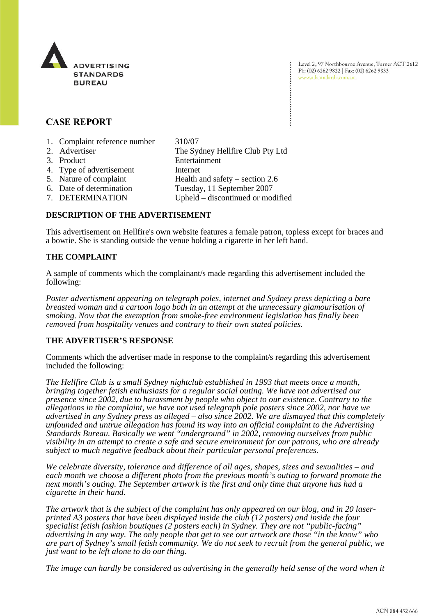

Level 2, 97 Northbourne Avenue, Turner ACT 2612 Ph: (02) 6262 9822 | Fax: (02) 6262 9833 www.adstandards.com.au

# **CASE REPORT**

- 1. Complaint reference number 310/07
- 2. Advertiser The Sydney Hellfire Club Pty Ltd 3. Product Entertainment 4. Type of advertisement Internet 5. Nature of complaint Health and safety – section 2.6 6. Date of determination Tuesday, 11 September 2007 7. DETERMINATION Upheld – discontinued or modified

## **DESCRIPTION OF THE ADVERTISEMENT**

This advertisement on Hellfire's own website features a female patron, topless except for braces and a bowtie. She is standing outside the venue holding a cigarette in her left hand.

## **THE COMPLAINT**

A sample of comments which the complainant/s made regarding this advertisement included the following:

*Poster advertisment appearing on telegraph poles, internet and Sydney press depicting a bare breasted woman and a cartoon logo both in an attempt at the unnecessary glamourisation of smoking. Now that the exemption from smoke-free environment legislation has finally been removed from hospitality venues and contrary to their own stated policies.*

### **THE ADVERTISER'S RESPONSE**

Comments which the advertiser made in response to the complaint/s regarding this advertisement included the following:

*The Hellfire Club is a small Sydney nightclub established in 1993 that meets once a month, bringing together fetish enthusiasts for a regular social outing. We have not advertised our presence since 2002, due to harassment by people who object to our existence. Contrary to the allegations in the complaint, we have not used telegraph pole posters since 2002, nor have we advertised in any Sydney press as alleged – also since 2002. We are dismayed that this completely unfounded and untrue allegation has found its way into an official complaint to the Advertising Standards Bureau. Basically we went "underground" in 2002, removing ourselves from public visibility in an attempt to create a safe and secure environment for our patrons, who are already subject to much negative feedback about their particular personal preferences.*

*We celebrate diversity, tolerance and difference of all ages, shapes, sizes and sexualities – and each month we choose a different photo from the previous month's outing to forward promote the next month's outing. The September artwork is the first and only time that anyone has had a cigarette in their hand.* 

*The artwork that is the subject of the complaint has only appeared on our blog, and in 20 laserprinted A3 posters that have been displayed inside the club (12 posters) and inside the four specialist fetish fashion boutiques (2 posters each) in Sydney. They are not "public-facing" advertising in any way. The only people that get to see our artwork are those "in the know" who are part of Sydney's small fetish community. We do not seek to recruit from the general public, we just want to be left alone to do our thing.*

*The image can hardly be considered as advertising in the generally held sense of the word when it*